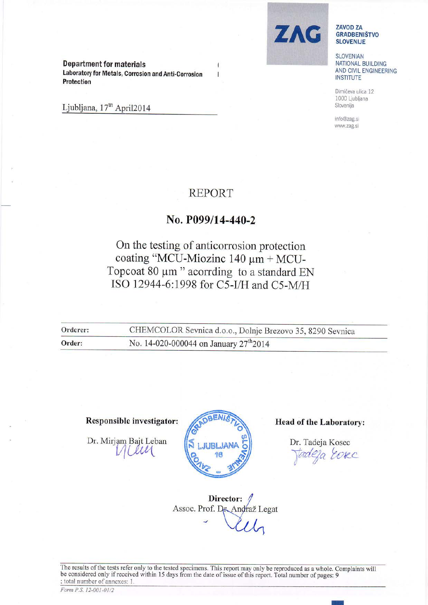Department for materials Laboratory for Metals, Corrosion and Anti-Corrosion Protection

Ljubljana, 17<sup>th</sup> April2014



#### **ZAVOD ZA GRADBENIŠTVO** SLOVENIJE

SLOVENIAN NATIONAL BUILDING AND CIVIL ENGINEERING **INSTITUTE** 

Dimičeva ulica 12 1000 Ljubljana Slovenija

info@zag.si www.zag.si

## REPORT

### No. P099/14-440-2

# On the testing of anticorrosion protection coating "MCU-Miozinc 140  $\mu$ m + MCU-Topcoat 80 um " acorrding to a standard EN ISO 12944-6:1998 for C5-I/H and C5-M/H

| Orderer: | CHEMCOLOR Sevnica d.o.o., Dolnje Brezovo 35, 8290 Sevnica |  |  |  |  |  |
|----------|-----------------------------------------------------------|--|--|--|--|--|
| Order:   | No. 14-020-000044 on January $27^{\text{th}}2014$         |  |  |  |  |  |

### Responsible investigator:  $\sqrt{R}$ <sup>BENIS</sup>

Dr. Mirjam Bajt Leban



Dr. Tadeja Kosec tadeja Eosec

Director: Assoc. Prof. Dr. Andraž Legat

The results of the tests refer only to the tested specimens. This report may only be reproduced as a whole. Complaints will be considered only if received within 15 days from the date of issue of this report. Total number of pages: 9 ; total number of annexes: 1.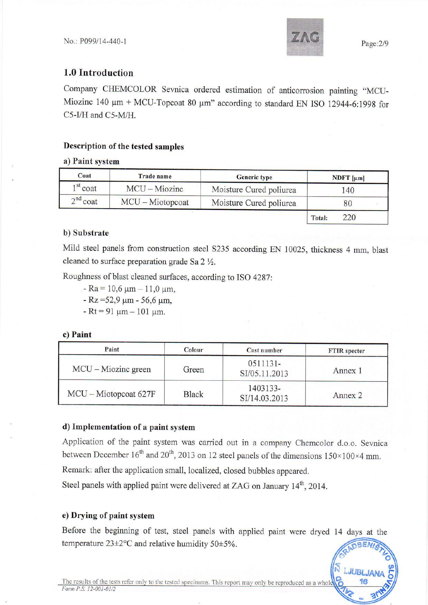

 $\frac{1}{2}$  LJUBLJANA iljan<br>1<mark>6</mark>

### 1.0 Introduction

Company CHEMCOLOR Sevnica ordered estimation of anticorrosion painting "MCU-Miozinc 140  $\mu$ m + MCU-Topcoat 80  $\mu$ m" according to standard EN ISO 12944-6:1998 for C5-I/H and C5-M/H.

### Description of the tested samples

### a) Paint system

| Coat                          | Trade name       | <b>Generic type</b>     | NDFT $[\mu m]$ |  |  |
|-------------------------------|------------------|-------------------------|----------------|--|--|
| $1st$ coat<br>$MCU - Miozinc$ |                  | Moisture Cured poliurea | 140            |  |  |
| $2^{nd}$ coat                 | MCU - Miotopcoat | Moisture Cured poliurea | 80             |  |  |
|                               |                  |                         | 220<br>Total:  |  |  |

#### b) Substrate

Mild steel panels from construction steel 5235 according EN 10025, thickness 4 mm, blast cleaned to surface preparation grade Sa  $2 \frac{1}{2}$ .

Roughness of blast cleaned surfaces, according to ISO 4287:

- $-$  Ra = 10,6  $\mu$ m 11,0  $\mu$ m,
- $-Rz = 52.9 \mu m 56.6 \mu m$
- $-Rt = 91 \mu m 101 \mu m$ .

c) Paint

| Paint                 | Colour<br>Cast number |                           | <b>FTIR</b> specter |  |
|-----------------------|-----------------------|---------------------------|---------------------|--|
| $MCU - Miozinc$ green | Green                 | 0511131-<br>SI/05.11.2013 | Annex 1             |  |
| MCU – Miotopcoat 627F | <b>Black</b>          | 1403133-<br>SI/14.03.2013 | Annex 2             |  |

### d) Implementation of a paint system

Application of the paint system was carried out in a company Chemcolor d.o.o. Sevnica between December  $16^{th}$  and  $20^{th}$ , 2013 on 12 steel panels of the dimensions  $150\times100\times4$  mm.

Remark: after the application small, localized, closed bubbles appeared.

Steel panels with applied paint were delivered at ZAG on January 14<sup>th</sup>, 2014.

#### e) Drying of paint system

Before the beginning of test, steel panels with applied paint were dryed 14 days at the temperature  $23\pm2\degree$ C and relative humidity  $50\pm5\%$ . GRADBENISTL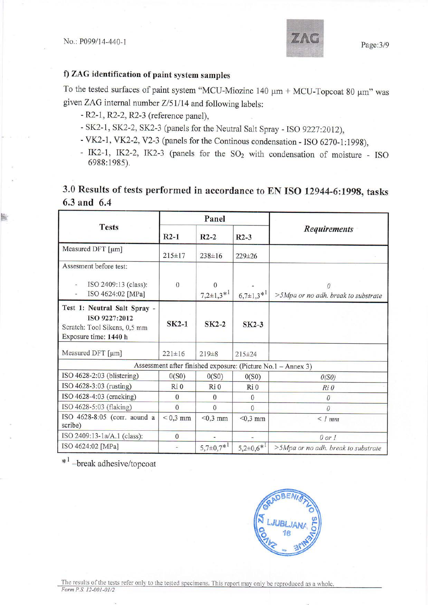tst

### f) ZAG identification of paint system samples

To the tested surfaces of paint system "MCU-Miozinc 140  $\mu$ m + MCU-Topcoat 80  $\mu$ m" was given ZAG internal number Z/51/14 and following labels:

- R2-1, R2-2, R2-3 (reference panel),
- SK2-1, SK2-2, SK2-3 (panels for the Neutral Salt Spray ISO 9227:2012),
- -VK2-L,VK2-2, V2-3 (panels for the Continous condensation ISO 6270-l:1998),
- IK2-1, IK2-2, IK2-3 (panels for the SO<sub>2</sub> with condensation of moisture ISO 6988:1985).

## 3.0 Results of tests performed in accordance to EN ISO 12944-6:1998, tasks 6.3 and 6.4

|                                                                                                        | Panel           |                            |                    |                                                              |  |
|--------------------------------------------------------------------------------------------------------|-----------------|----------------------------|--------------------|--------------------------------------------------------------|--|
| <b>Tests</b>                                                                                           | $R2-1$          | $R2-2$                     | $R2-3$             | <b>Requirements</b>                                          |  |
| Measured DFT [µm]                                                                                      | $215 \pm 17$    | $238 \pm 16$               | $229 \pm 26$       |                                                              |  |
| Assesment before test:                                                                                 |                 |                            |                    |                                                              |  |
| ISO 2409:13 (class):<br>ISO 4624:02 [MPa]                                                              | $\Omega$        | $\Omega$<br>$7,2\pm1,3*^1$ | $6,7{\pm}1,3^{*1}$ | >5Mpa or no adh. break to substrate                          |  |
| Test 1: Neutral Salt Spray -<br>ISO 9227:2012<br>Scratch: Tool Sikens, 0,5 mm<br>Exposure time: 1440 h | $SK2-1$         | $SK2-2$                    | $SK2-3$            |                                                              |  |
| Measured DFT [µm]                                                                                      | $221 \pm 16$    | $219\pm8$                  | $215 \pm 24$       |                                                              |  |
|                                                                                                        |                 |                            |                    | Assessment after finished exposure: (Picture No.1 - Annex 3) |  |
| ISO $4628-2:03$ (blistering)                                                                           | 0(S0)           | 0(S0)                      | 0(S0)              | O(SO)                                                        |  |
| ISO 4628-3:03 (rusting)                                                                                | Ri <sub>0</sub> | Ri <sub>0</sub>            | Ri <sub>0</sub>    | Ri0                                                          |  |
| ISO 4628-4:03 (cracking)                                                                               | $\overline{0}$  | $\Omega$                   | $\Omega$           | $\theta$                                                     |  |
| ISO 4628-5:03 (flaking)                                                                                | $\Omega$        | $\Omega$                   | $\Omega$           | $\theta$                                                     |  |
| ISO 4628-8:05 (corr. aound a<br>scribe)                                                                | $< 0.3$ mm      | $< 0.3$ mm                 | $< 0.3$ mm         | $\leq$ 1 mm                                                  |  |
| ISO 2409:13-1a/A.1 (class):                                                                            | $\overline{0}$  |                            |                    | $0$ or $1$                                                   |  |
| ISO 4624:02 [MPa]                                                                                      |                 | $5,7{\pm}0,7^{*1}$         | $5,2\pm0.6*^1$     | >5Mpa or no adh. break to substrate                          |  |

\*<sup>1</sup> -break adhesive/topcoat

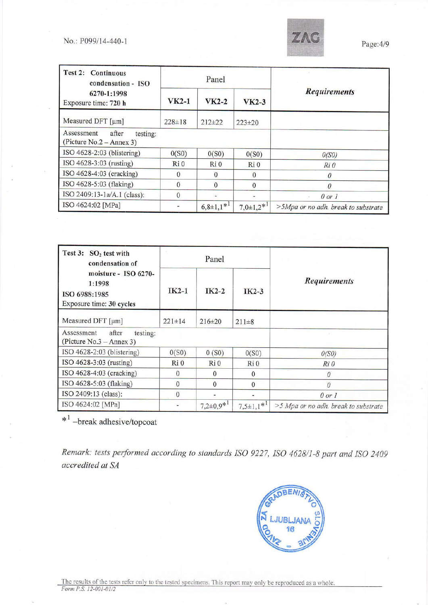

| Test 2: Continuous<br>condensation - ISO                       | Panel           |                |                  |                                     |
|----------------------------------------------------------------|-----------------|----------------|------------------|-------------------------------------|
| 6270-1:1998<br>Exposure time: 720 h                            | $VK2-1$         | $VK2-2$        | $VK2-3$          | <b>Requirements</b>                 |
| Measured DFT [µm]                                              | $228 \pm 18$    | $212 \pm 22$   | $223 \pm 20$     |                                     |
| Assessment<br>after<br>testing:<br>(Picture $No.2 - Annex 3$ ) |                 |                |                  |                                     |
| ISO 4628-2:03 (blistering)                                     | 0(S0)           | 0(S0)          | 0(S0)            | O(SO)                               |
| ISO 4628-3:03 (rusting)                                        | Ri <sub>0</sub> | Ri 0           | Ri0              | Ri 0                                |
| ISO $4628-4:03$ (cracking)                                     | $\Omega$        | $\Omega$       | $\Omega$         | 0                                   |
| ISO 4628-5:03 (flaking)                                        | $\Omega$        | $\Omega$       | $\Omega$         | N                                   |
| ISO 2409:13-1a/A.1 (class):                                    | 0               |                |                  | $0$ or $1$                          |
| ISO 4624:02 [MPa]                                              |                 | $6,8\pm1,1*^1$ | $7,0\pm1,2^{*1}$ | >5Mpa or no adh. break to substrate |

| Test 3:<br>$SO2$ test with<br>condensation of                               | Panel        |                   |                |                                      |
|-----------------------------------------------------------------------------|--------------|-------------------|----------------|--------------------------------------|
| moisture - ISO 6270-<br>1:1998<br>ISO 6988:1985<br>Exposure time: 30 cycles | $IK2-1$      | $IK2-2$           | IK2-3          | <b>Requirements</b>                  |
| Measured DFT [µm]                                                           | $221 \pm 14$ | $216 \pm 20$      | $211 \pm 8$    |                                      |
| after<br>Assessment<br>testing:<br>(Picture $No.3 - Annex 3)$ )             |              |                   |                |                                      |
| ISO 4628-2:03 (blistering)                                                  | 0(S0)        | 0(S0)             | 0(S0)          | O(SO)                                |
| ISO 4628-3:03 (rusting)                                                     | Ri 0         | $Ri$ <sub>0</sub> | Ri 0           | Ri 0                                 |
| ISO 4628-4:03 (cracking)                                                    | $\mathbf{0}$ | $\Omega$          | $\Omega$       | 0                                    |
| ISO 4628-5:03 (flaking)                                                     | $\Omega$     | $\Omega$          | $\Omega$       | $\theta$                             |
| ISO 2409:13 (class):                                                        | 0            |                   |                | $0$ or $1$                           |
| ISO 4624:02 [MPa]                                                           |              | $7,2\pm0.9*^1$    | $7,5\pm1,1*^1$ | >5 Mpa or no adh. break to substrate |

\*' -break adhesive/topcoat

Remark: tests performed according to standards ISO 9227, ISO 4628/I-8 part and ISO 2409 accredited at SA

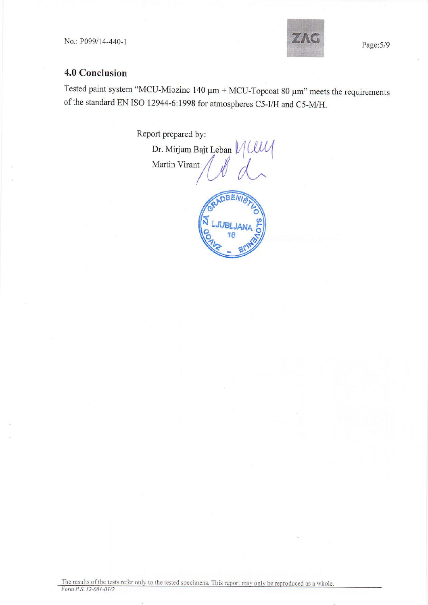

## 4.0 Conclusion

Tested paint system "MCU-Miozinc 140  $\mu$ m + MCU-Topcoat 80  $\mu$ m" meets the requirements of the standard EN ISO 12944-6:1998 for atmospheres C5-I/H and C5-M/H.

Report prepared by:

Dr. Mirjam Bajt Leban  $\mathcal{U}\mathcal{U}\mathcal{U}$ Martin Virant

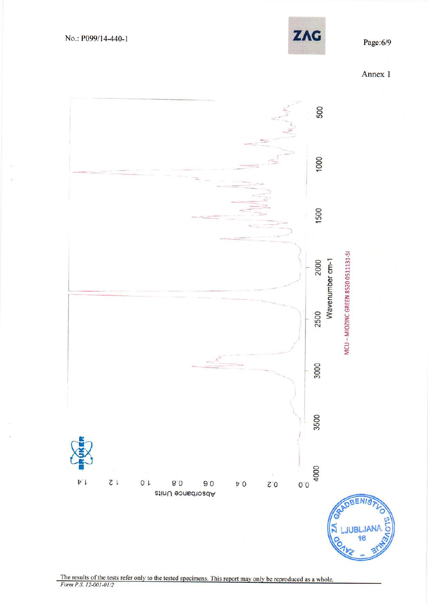



The results of the tests refer only to the tested specimens. This report may only be reproduced as a whole.<br>Form P.S. 12-001-01/2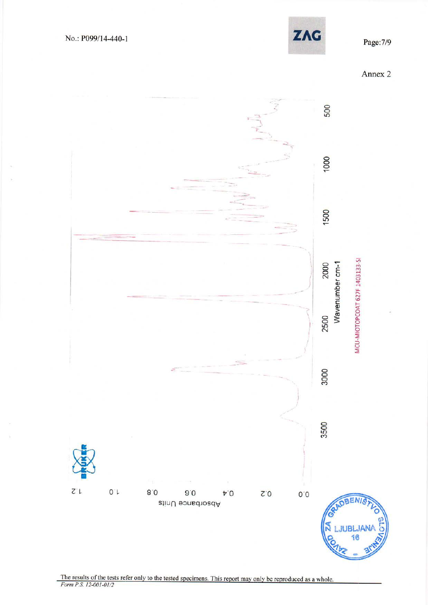

Page: 7/9





The results of the tests refer only to the tested specimens. This report may only be reproduced as a whole. Form  $P.S.$  12-001-01/2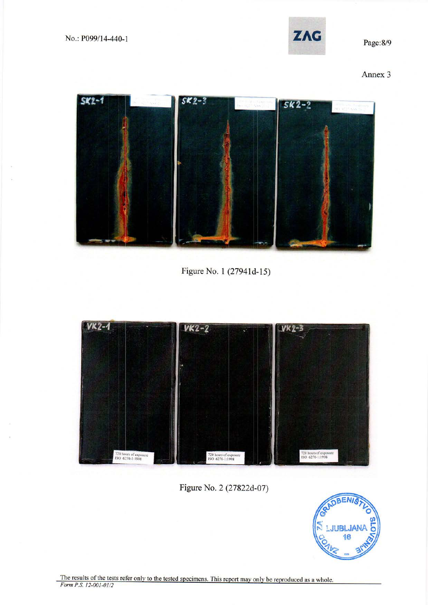

Page: 8/9

Annex 3



Figure No. 1 (27941d-15)



Figure No. 2 (27822d-07)